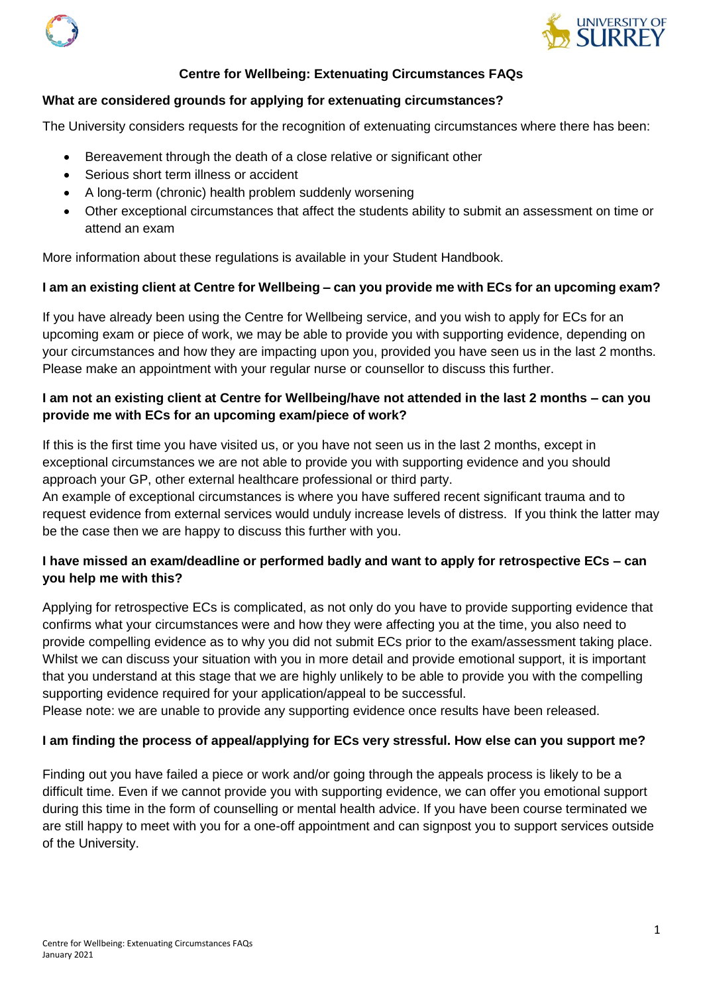



# **Centre for Wellbeing: Extenuating Circumstances FAQs**

#### **What are considered grounds for applying for extenuating circumstances?**

The University considers requests for the recognition of extenuating circumstances where there has been:

- Bereavement through the death of a close relative or significant other
- Serious short term illness or accident
- A long-term (chronic) health problem suddenly worsening
- Other exceptional circumstances that affect the students ability to submit an assessment on time or attend an exam

More information about these regulations is available in your Student Handbook.

## **I am an existing client at Centre for Wellbeing – can you provide me with ECs for an upcoming exam?**

If you have already been using the Centre for Wellbeing service, and you wish to apply for ECs for an upcoming exam or piece of work, we may be able to provide you with supporting evidence, depending on your circumstances and how they are impacting upon you, provided you have seen us in the last 2 months. Please make an appointment with your regular nurse or counsellor to discuss this further.

## **I am not an existing client at Centre for Wellbeing/have not attended in the last 2 months – can you provide me with ECs for an upcoming exam/piece of work?**

If this is the first time you have visited us, or you have not seen us in the last 2 months, except in exceptional circumstances we are not able to provide you with supporting evidence and you should approach your GP, other external healthcare professional or third party.

An example of exceptional circumstances is where you have suffered recent significant trauma and to request evidence from external services would unduly increase levels of distress. If you think the latter may be the case then we are happy to discuss this further with you.

# **I have missed an exam/deadline or performed badly and want to apply for retrospective ECs – can you help me with this?**

Applying for retrospective ECs is complicated, as not only do you have to provide supporting evidence that confirms what your circumstances were and how they were affecting you at the time, you also need to provide compelling evidence as to why you did not submit ECs prior to the exam/assessment taking place. Whilst we can discuss your situation with you in more detail and provide emotional support, it is important that you understand at this stage that we are highly unlikely to be able to provide you with the compelling supporting evidence required for your application/appeal to be successful.

Please note: we are unable to provide any supporting evidence once results have been released.

## **I am finding the process of appeal/applying for ECs very stressful. How else can you support me?**

Finding out you have failed a piece or work and/or going through the appeals process is likely to be a difficult time. Even if we cannot provide you with supporting evidence, we can offer you emotional support during this time in the form of counselling or mental health advice. If you have been course terminated we are still happy to meet with you for a one-off appointment and can signpost you to support services outside of the University.